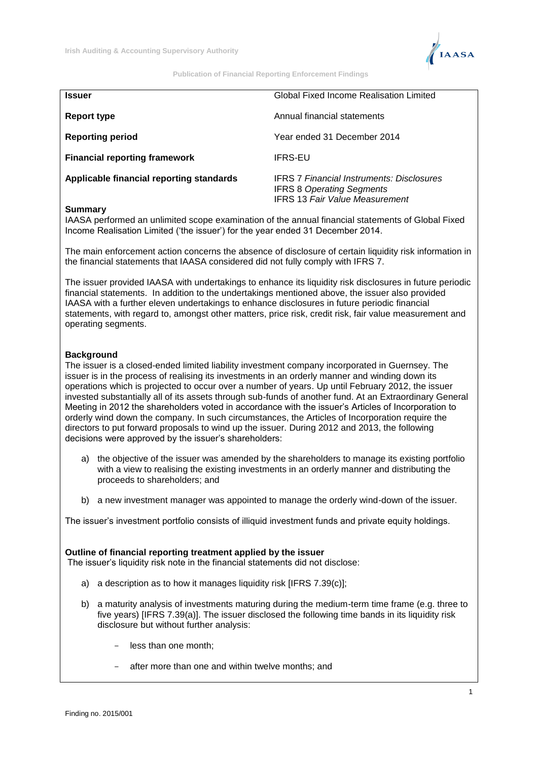

**Publication of Financial Reporting Enforcement Findings**

| Issuer                                   | Global Fixed Income Realisation Limited                                                                                       |
|------------------------------------------|-------------------------------------------------------------------------------------------------------------------------------|
| Report type                              | Annual financial statements                                                                                                   |
| <b>Reporting period</b>                  | Year ended 31 December 2014                                                                                                   |
| <b>Financial reporting framework</b>     | <b>IFRS-EU</b>                                                                                                                |
| Applicable financial reporting standards | <b>IFRS 7 Financial Instruments: Disclosures</b><br><b>IFRS 8 Operating Segments</b><br><b>IFRS 13 Fair Value Measurement</b> |

## **Summary**

IAASA performed an unlimited scope examination of the annual financial statements of Global Fixed Income Realisation Limited ('the issuer') for the year ended 31 December 2014.

The main enforcement action concerns the absence of disclosure of certain liquidity risk information in the financial statements that IAASA considered did not fully comply with IFRS 7.

The issuer provided IAASA with undertakings to enhance its liquidity risk disclosures in future periodic financial statements. In addition to the undertakings mentioned above, the issuer also provided IAASA with a further eleven undertakings to enhance disclosures in future periodic financial statements, with regard to, amongst other matters, price risk, credit risk, fair value measurement and operating segments.

# **Background**

The issuer is a closed-ended limited liability investment company incorporated in Guernsey. The issuer is in the process of realising its investments in an orderly manner and winding down its operations which is projected to occur over a number of years. Up until February 2012, the issuer invested substantially all of its assets through sub-funds of another fund. At an Extraordinary General Meeting in 2012 the shareholders voted in accordance with the issuer's Articles of Incorporation to orderly wind down the company. In such circumstances, the Articles of Incorporation require the directors to put forward proposals to wind up the issuer. During 2012 and 2013, the following decisions were approved by the issuer's shareholders:

- a) the objective of the issuer was amended by the shareholders to manage its existing portfolio with a view to realising the existing investments in an orderly manner and distributing the proceeds to shareholders; and
- b) a new investment manager was appointed to manage the orderly wind-down of the issuer.

The issuer's investment portfolio consists of illiquid investment funds and private equity holdings.

## **Outline of financial reporting treatment applied by the issuer**

The issuer's liquidity risk note in the financial statements did not disclose:

- a) a description as to how it manages liquidity risk [IFRS 7.39(c)];
- b) a maturity analysis of investments maturing during the medium-term time frame (e.g. three to five years) [IFRS 7.39(a)]. The issuer disclosed the following time bands in its liquidity risk disclosure but without further analysis:
	- less than one month;
	- after more than one and within twelve months; and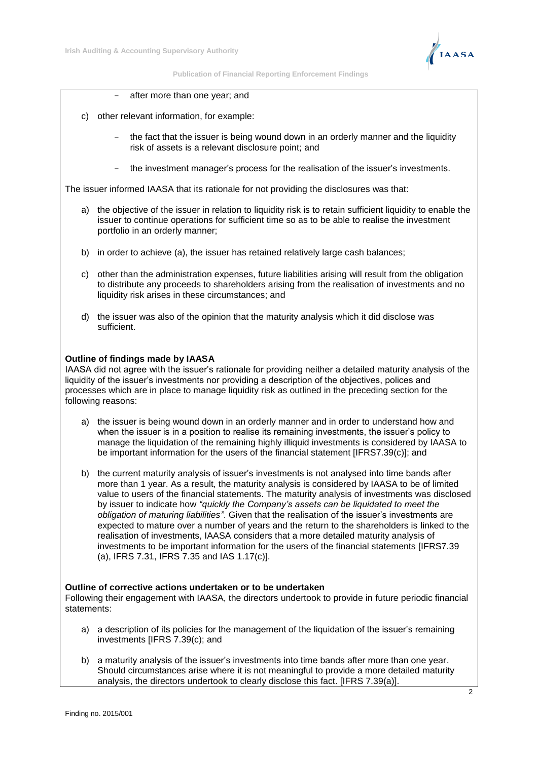

**Publication of Financial Reporting Enforcement Findings**

- after more than one year; and
- c) other relevant information, for example:
	- the fact that the issuer is being wound down in an orderly manner and the liquidity risk of assets is a relevant disclosure point; and
	- the investment manager's process for the realisation of the issuer's investments.

The issuer informed IAASA that its rationale for not providing the disclosures was that:

- a) the objective of the issuer in relation to liquidity risk is to retain sufficient liquidity to enable the issuer to continue operations for sufficient time so as to be able to realise the investment portfolio in an orderly manner;
- b) in order to achieve (a), the issuer has retained relatively large cash balances;
- c) other than the administration expenses, future liabilities arising will result from the obligation to distribute any proceeds to shareholders arising from the realisation of investments and no liquidity risk arises in these circumstances; and
- d) the issuer was also of the opinion that the maturity analysis which it did disclose was sufficient.

# **Outline of findings made by IAASA**

IAASA did not agree with the issuer's rationale for providing neither a detailed maturity analysis of the liquidity of the issuer's investments nor providing a description of the objectives, polices and processes which are in place to manage liquidity risk as outlined in the preceding section for the following reasons:

- a) the issuer is being wound down in an orderly manner and in order to understand how and when the issuer is in a position to realise its remaining investments, the issuer's policy to manage the liquidation of the remaining highly illiquid investments is considered by IAASA to be important information for the users of the financial statement [IFRS7.39(c)]; and
- b) the current maturity analysis of issuer's investments is not analysed into time bands after more than 1 year. As a result, the maturity analysis is considered by IAASA to be of limited value to users of the financial statements. The maturity analysis of investments was disclosed by issuer to indicate how *"quickly the Company's assets can be liquidated to meet the obligation of maturing liabilities"*. Given that the realisation of the issuer's investments are expected to mature over a number of years and the return to the shareholders is linked to the realisation of investments, IAASA considers that a more detailed maturity analysis of investments to be important information for the users of the financial statements [IFRS7.39 (a), IFRS 7.31, IFRS 7.35 and IAS 1.17(c)].

## **Outline of corrective actions undertaken or to be undertaken**

Following their engagement with IAASA, the directors undertook to provide in future periodic financial statements:

- a) a description of its policies for the management of the liquidation of the issuer's remaining investments [IFRS 7.39(c); and
- b) a maturity analysis of the issuer's investments into time bands after more than one year. Should circumstances arise where it is not meaningful to provide a more detailed maturity analysis, the directors undertook to clearly disclose this fact. [IFRS 7.39(a)].